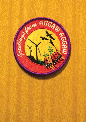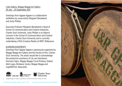### Links Gallery, Wagga Wagga Art Gallery 29 July – 25 September 2011

*Greetings from Aggaw Aggaw* is a collaborative exhibition by visual artists Margaret Woodward and Justy Phillips.

Associate Professor Margaret Woodward is Head of School of Communication and Creative Industries, Charles Sturt University. Justy Phillips is an Adjunct Lecturer in the School of Communication and Creative Industries, Charles Sturt University and is currently undertaking a PhD (Creative Media) at RMIT, Melbourne.

### ACKNOWLEDGEMENTS

*Greetings from Aggaw Aggaw* is generously supported by Wagga Wagga Art Gallery and the Faculty of Arts, Charles Sturt University. The artists would like to acknowledge the production assistance of Lily van Heeckeren; Precision Signs, Wagga Wagga; Focal Printing, Hobart; AAA Logos, Brisbane; Gecko, Wagga Wagga and LogoMePrint, Newcastle.



Wagga Wagga Art Gallery is assisted by the NSW Government through Arts NSW

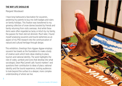### THE WAY LIFE SHOULD BE

#### Margaret Woodward

I have long harboured a fascination for souvenirs, pestering my parents to buy me cloth badges and rulers on family holidays. This fixation was transferred to my growing collection of snow domes boosted by friends and family returning from visits overseas. And while these items were often regarded as tacky or kitsch by my family, the passion for them did not diminish. Much later, I found myself analysing souvenirs and tourist ephemera as an aspect of my PhD research into the communication of natural and cultural heritage through design.

This exhibition, *Greetings from Aggaw Aggaw* employs souvenir tea towels as the foundation to make a body of creative work which tests ideas relating to place, tourism and national identity. The work highlights the role of codes, symbols and icons that develop into what sociologist, Dean MacCannell calls 'tourist markers' and questions their contribution to ideas of place, national identity and the tourist experience, inviting audiences to look beyond the surface to a deeper, more complex understanding of where we live.

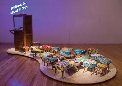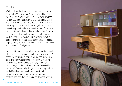# WHERE IS IT?

Works in this exhibition combine to create a fictitious place called '*Aggaw Aggaw*'— what Roland Barthes would call a 'fictive nation' $2 - a$  place with an invented name made up of tourist sights and sites, slogans and images. Barthes contends that tourists focus on 'flashes', that is topics, sites and activities of significance, rather than attempting to offer a coherent picture of the place they are visiting<sup>3</sup>. Likewise this exhibition offers 'flashes' of a constructed destination; an island with a souvenir kiosk, a living room cabinet atop a castaway's raft, a suite of dining chairs that become pedestals for holiday trophies and a set of enamel mugs that reflect European interpretations of indigenous places.

This exhibition culminates in the installation of a project which has been exhibited a number of times since 2009, each time occupying a larger footprint and growing in scale. The work was inspired by a Hobart City Council marketing campaign to brand the city in the new millennium, with the marketing slogan 'The way life should be'. This campaign hinged on promoting Hobart for its lifestyle rather than through previous familiar themes of wilderness, treasure islands and convict heritage. The idea that life should be different, and this

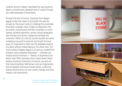could be found in Hobart, resembled the way souvenirs depict a romanticised, idealised view of a place through the coded language of stereotypes.

Through the lens of tourism, *Greetings from Aggaw Aggaw* invites the viewer to reconsider the way life actually is. The project seeks to challenge the universally promoted, nostalgic vision of place as depicted in the tea towels, and proposes that life in Australia is a multilayered, situated experience, whose cultural geography also includes local stories, indigenous heritage and memories. While city councils, tourism boards and clever marketing may want to airbrush and 'brand' the local away, it's impossible to distil only the palatable essence of a place without indeed taking in the whole view. The fictive world of *Aggaw Aggaw* is a mash up, created from artefacts which celebrate destination — a familiar yet twisted world of memory — 'flashes' of experience and desire. Here 1970's domestic kitsch meets desert island fantasy, framed by memories of summer, sea and sun from inland Australia. Well known icons are fragmented and sit together with lesser known places, combining Sydney and the bush, city and country, holiday and work, industry with domesticity.



*The Romance of Nomenclature,* 2011 (detail) > *The Romance of Nomenclature,* 2011 (detail) >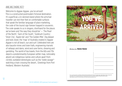### ARE WE THERE YET?

Welcome to *Aggaw Aggaw*...you've arrived! This is a constructed postmodern fictional destination. It's superficial, a re-skinned island where the armchair traveller can rest their feet on comfortable surfaces that speak the familiar language of place marketing, the code of the tourist sign forever trapped in souvenirs. The code speaks to us in slogans, shorthand for the places we've been and 'the way they should be' — 'The Pearl of the North', 'Gem of the South', 'Goldrush Country', 'Silver City', 'Apple Isle' and 'The Golden Mile'. Dig deeper and look closer, the 'map' of Australia created in *Aggaw Aggaw* is not all beach, sun and surf. Celebrated here are also bauxite mines and town halls, engineering marvels of railways and dams, wind and cane farms, shearing and gambling. The world of tea towels, from the 60s and 70s depicts a predominantly European settler map, noticeably absent are indigenous names and culture apart from clichéd, outdated stereotypes such as the 'noble savage'4 watching a train crossing the desert…'Greetings from Port Hedland, Western Australia'.





This is a souvenir postcard by Justy Phillips and Margaret Woodward published with *Greetings from Aggaw Aggaw*, Wagga Wagga Art Gallery, Australia, 2011. Limited edition of 500. Image: (detail) taken from a vintage souvenir tea towel 'Emus Australia', designed in Australia by Souvenirs Australia. Slogan originally sourced form the Austrian National Tourist O!ce http://www.austriatourism.com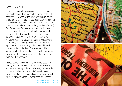#### I WANT A SOUVENIR

Souvenirs, along with posters and brochures belong to the category of designed artefacts known as tourist ephemera, generated by the travel and tourism industry to promote and sell Australia as a destination for migrants and holiday makers. During the 1950s—60s the work of prominent Australian modernist designers Percy Trompf, Gert Selheim and Douglas Annand featured in travel poster design. The humble tea towel, however, renders anonymous the designers behind the brand name of souvenir companies — the most well known of the 1960s and 70s being Souvenirs Australia, Neil, Lamont, Rodriguez and Summit Souvenir. Souvenirs Australia, a premier souvenir company in the sixties which still operates today, had a fleet of caravans as mobile showrooms that traversed the country selling souvenirs. These were later replaced with trucks when five caravans were 'rolled' in one year<sup>5</sup> .

The tea towels also use what Denise Whitehouse calls the key trope of the 'panoramic narrative to construct an all-encompassing vision of an instantly recognizable and reassuringly familiar Australia' 6 . Meanings and associations that cluster around particular places reveal what Jay Arthur refers to as 'word maps' of European

> *Welcome to Aggaw Aggaw,* 2011 (detail) > *Welcome to Aggaw Aggaw,* 2011 (detail) >

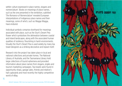settler culture expressed in place names, slogans and nomenclature 7 . Books on meanings of place names, such as the one presented in the exhibition, subtitled '*The Romance of Nomenclature*' revealed European interpretations of indigenous place names and their meanings, some of which, such as Wagga Wagga, have endured.

Individual symbols comprise shorthand for meanings associated with place, such as the Sturt's Desert Pea flower which symbolises the delineation between coastal and inland landscapes, along with the associated human qualities of resilience, flourishing in harsh environments. Visually the Sturt's Desert Pea is used widely by many tea towel designers as a striking decorative and repeat motif.

Research into the project has taken place in local and national collections and private homes. The National Library of Australia, and the Tasmaniana Library hold large collections of tourist ephemera and provided information about place names from slogans, jingles and tourism marketing campaigns. Tea towels were found in opportunity shops, garage sales, friends and relative's hall cupboards and most recently the highly competitive world of eBay.

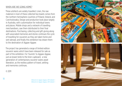# WHEN ARE WE GOING HOME?

These artefacts are widely travelled. Linen, the raw material in most of these collected tea towels comes from the northern hemisphere countries of Poland, Ireland, and Czechoslovakia. Design and production took place largely in Australia, with customisation for individual towns and places. Mobile shops and a network of travelling merchandisers, saw them distributed to their final destinations. Purchasing, collecting and gift-giving along with associated memories and stories continues the cycle of travelling for souvenirs as they are taken home and sent abroad, and finally this exhibition has drawn them to the destination of *Aggaw Aggaw*.

The project has generated a range of limited edition souvenir wares which have been released for sale as part of the exhibition. For 'tourists' to *Aggaw Aggaw,*  just as bower birds to the linen cupboard*,* a new generation of contemporary souvenir wares await liberation, as the restless pattern of travel, settling and memories continues.





© 2011

*Welcome to Aggaw Aggaw,* 2011 (detail) > *Welcome to Aggaw Aggaw,* 2011 (detail) >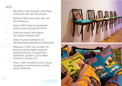#### NOTES

- <sup>1</sup> MacCannell, D. 1976. *The Tourist: A New Theory of the Leisure Class*. New York: Schocken.
- <sup>2</sup> Barthes, R. 1982 *Empire of Signs*. New York: Hill and Wang, p3.
- $3$  Berger, A. 2011. Tourism as a postmodern semiotic activity. *Semiotica* 183, 105-119.
- <sup>4</sup> A term first coined by John Dryden in *The Conquest of Granada,* (1672).
- <sup>5</sup> History of Souvenirs Australia Pty. Ltd. http://www.souvenirsaustralia.com.au/history.php
- <sup>6</sup> Whitehouse, D. 2007. This is Australia: The panoramic narrative, graphic design and spatial consciousness. *In Extroverts and Exhibitionists: typotastic 3*, 52-56. Hobart: University of Tasmania. p 52.
- <sup>7</sup> Arthur, J. 2003. *The Default Country: A lexical cartography of twentieth-century Australia*. Sydney: UNSW Press.





*Dining room traveller,* 2011 > *All at sea,* 2010 (detail) >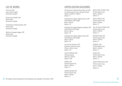### LIST OF WORKS

*All at sea*, 2010 Linen, cotton, feather Dimensions variable

*Dining room traveller,* 2011 Mixed media Dimensions variable

*The Romance of Nomenclature,* 2011 Mixed media Dimensions variable

*Welcome to Aggaw Aggaw*, 2011 Mixed media Dimensions variable

# LIMITED EDITION SOUVENIRS

*The Romance of Nomenclature (Box set),* 2011 9 x printed enamel mugs, vintage tea towel 400mm x 300mm x 105mm Edition / 5

*Greetings from Aggaw Aggaw (Sturt's),* 2011 Embroidered cotton badge 85mm x 85mm Edition / 10

*Greetings from Aggaw Aggaw (cockatoo),* 2011 Embroidered cloth badge 85mm x 85mm Edition / 10

*Greetings from Aggaw Aggaw (crow),* 2011 Embroidered cotton badge 85mm x 85mm Edition / 10

*the way life should be,* 2011 Engraved carpenter's pencil 175mm x 12mm x 4mm Edition / 50

*YOU'VE ARRIVED,* 2011 Printed postcard 148.5mm x 105mm Edition / 500

*SPRING,* 2011 Printed enamel mug 90mm x 100mm Edition / 5

*AGGAW AGGAW,* 2011 Printed enamel mug 90mm x 100mm Edition / 5

*BATS FLYING AT NIGHT,* 2011 Printed enamel mug 90mm x 100mm Edition / 5

*MUCH SPOILED,* 2011 Printed enamel mug 90mm x 100mm Edition / 5

*HILL OF BLACK STONES,* 2011 Printed enamel mug 90mm x 100mm Edition / 5

*MOTHER'S MILK,* 2011 Printed enamel mug 90mm x 100mm Edition / 5

*PATIENCE,* 2011 Printed enamel mug 90mm x 100mm Edition / 5

*SISTER,* 2011 Printed enamel mug 90mm x 100mm Edition / 5

*GHOST WATER HOLE,* 2011 Printed enamel mug 90mm x 100mm Edition / 5

 $22$  All images and text reproduced in this publication are copyright of the artists © 2011.